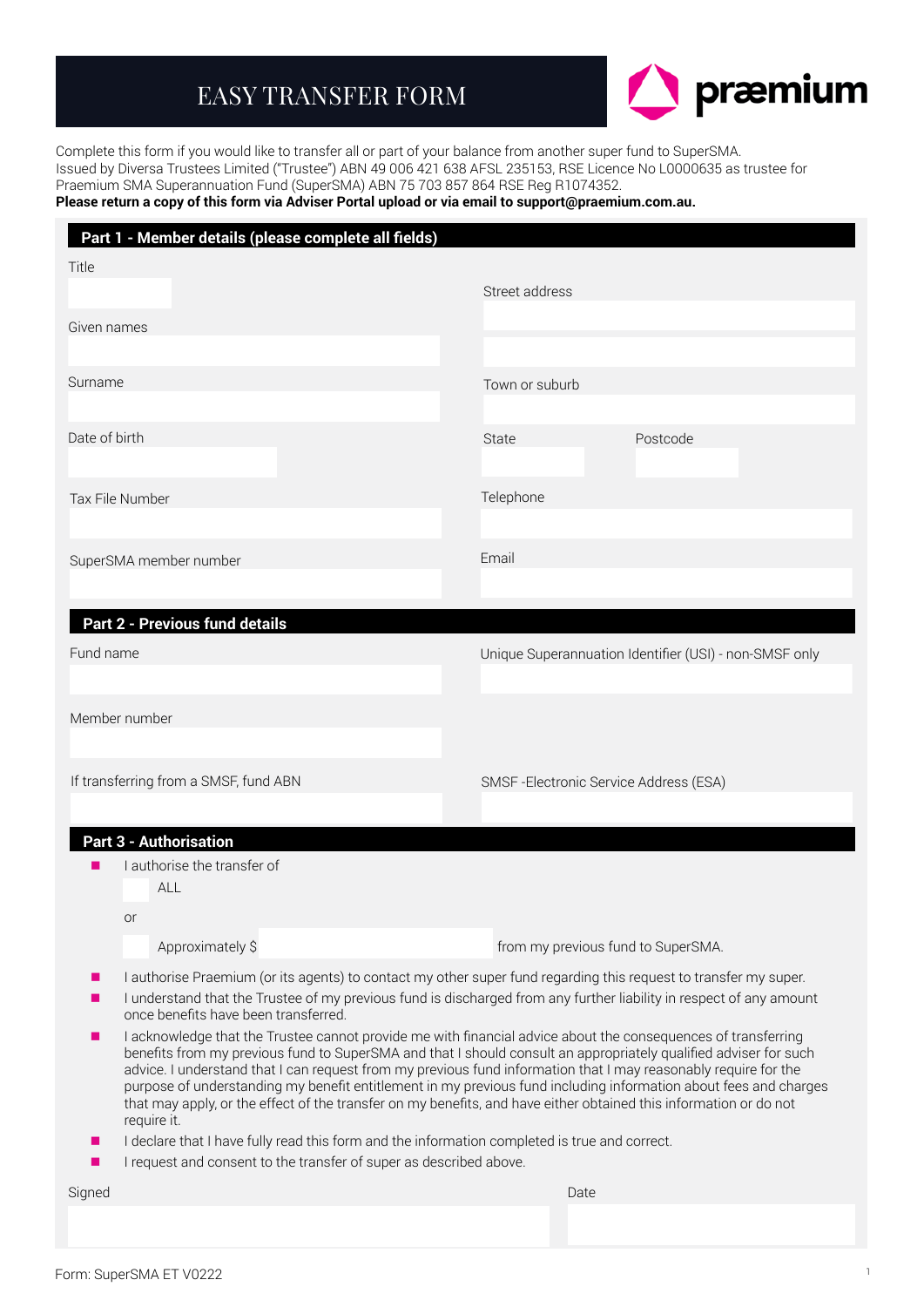# EASY TRANSFER FORM



Complete this form if you would like to transfer all or part of your balance from another super fund to SuperSMA. Issued by Diversa Trustees Limited ("Trustee") ABN 49 006 421 638 AFSL 235153, RSE Licence No L0000635 as trustee for Praemium SMA Superannuation Fund (SuperSMA) ABN 75 703 857 864 RSE Reg R1074352.

## **Please return a copy of this form via Adviser Portal upload or via email to support@praemium.com.au.**

| Part 1 - Member details (please complete all fields)                                                                                                                      |                                                                                                                                                                                                                                                                                                                                                                                                                                                                                                                                                                                               |
|---------------------------------------------------------------------------------------------------------------------------------------------------------------------------|-----------------------------------------------------------------------------------------------------------------------------------------------------------------------------------------------------------------------------------------------------------------------------------------------------------------------------------------------------------------------------------------------------------------------------------------------------------------------------------------------------------------------------------------------------------------------------------------------|
| Title                                                                                                                                                                     | Street address                                                                                                                                                                                                                                                                                                                                                                                                                                                                                                                                                                                |
| Given names                                                                                                                                                               |                                                                                                                                                                                                                                                                                                                                                                                                                                                                                                                                                                                               |
|                                                                                                                                                                           |                                                                                                                                                                                                                                                                                                                                                                                                                                                                                                                                                                                               |
| Surname                                                                                                                                                                   | Town or suburb                                                                                                                                                                                                                                                                                                                                                                                                                                                                                                                                                                                |
| Date of birth                                                                                                                                                             | State<br>Postcode                                                                                                                                                                                                                                                                                                                                                                                                                                                                                                                                                                             |
| Tax File Number                                                                                                                                                           | Telephone                                                                                                                                                                                                                                                                                                                                                                                                                                                                                                                                                                                     |
|                                                                                                                                                                           |                                                                                                                                                                                                                                                                                                                                                                                                                                                                                                                                                                                               |
| SuperSMA member number                                                                                                                                                    | Email                                                                                                                                                                                                                                                                                                                                                                                                                                                                                                                                                                                         |
|                                                                                                                                                                           |                                                                                                                                                                                                                                                                                                                                                                                                                                                                                                                                                                                               |
| <b>Part 2 - Previous fund details</b>                                                                                                                                     |                                                                                                                                                                                                                                                                                                                                                                                                                                                                                                                                                                                               |
| Fund name                                                                                                                                                                 | Unique Superannuation Identifier (USI) - non-SMSF only                                                                                                                                                                                                                                                                                                                                                                                                                                                                                                                                        |
|                                                                                                                                                                           |                                                                                                                                                                                                                                                                                                                                                                                                                                                                                                                                                                                               |
| Member number                                                                                                                                                             |                                                                                                                                                                                                                                                                                                                                                                                                                                                                                                                                                                                               |
|                                                                                                                                                                           |                                                                                                                                                                                                                                                                                                                                                                                                                                                                                                                                                                                               |
|                                                                                                                                                                           |                                                                                                                                                                                                                                                                                                                                                                                                                                                                                                                                                                                               |
| If transferring from a SMSF, fund ABN                                                                                                                                     | SMSF-Electronic Service Address (ESA)                                                                                                                                                                                                                                                                                                                                                                                                                                                                                                                                                         |
|                                                                                                                                                                           |                                                                                                                                                                                                                                                                                                                                                                                                                                                                                                                                                                                               |
| <b>Part 3 - Authorisation</b>                                                                                                                                             |                                                                                                                                                                                                                                                                                                                                                                                                                                                                                                                                                                                               |
| I authorise the transfer of<br>ALL                                                                                                                                        |                                                                                                                                                                                                                                                                                                                                                                                                                                                                                                                                                                                               |
| or                                                                                                                                                                        |                                                                                                                                                                                                                                                                                                                                                                                                                                                                                                                                                                                               |
| Approximately \$                                                                                                                                                          | from my previous fund to SuperSMA.                                                                                                                                                                                                                                                                                                                                                                                                                                                                                                                                                            |
|                                                                                                                                                                           | I authorise Praemium (or its agents) to contact my other super fund regarding this request to transfer my super.                                                                                                                                                                                                                                                                                                                                                                                                                                                                              |
| once benefits have been transferred.                                                                                                                                      | I understand that the Trustee of my previous fund is discharged from any further liability in respect of any amount                                                                                                                                                                                                                                                                                                                                                                                                                                                                           |
| require it.                                                                                                                                                               | I acknowledge that the Trustee cannot provide me with financial advice about the consequences of transferring<br>benefits from my previous fund to SuperSMA and that I should consult an appropriately qualified adviser for such<br>advice. I understand that I can request from my previous fund information that I may reasonably require for the<br>purpose of understanding my benefit entitlement in my previous fund including information about fees and charges<br>that may apply, or the effect of the transfer on my benefits, and have either obtained this information or do not |
| I declare that I have fully read this form and the information completed is true and correct.<br>×.<br>I request and consent to the transfer of super as described above. |                                                                                                                                                                                                                                                                                                                                                                                                                                                                                                                                                                                               |
|                                                                                                                                                                           |                                                                                                                                                                                                                                                                                                                                                                                                                                                                                                                                                                                               |
| Signed                                                                                                                                                                    | Date                                                                                                                                                                                                                                                                                                                                                                                                                                                                                                                                                                                          |
|                                                                                                                                                                           |                                                                                                                                                                                                                                                                                                                                                                                                                                                                                                                                                                                               |